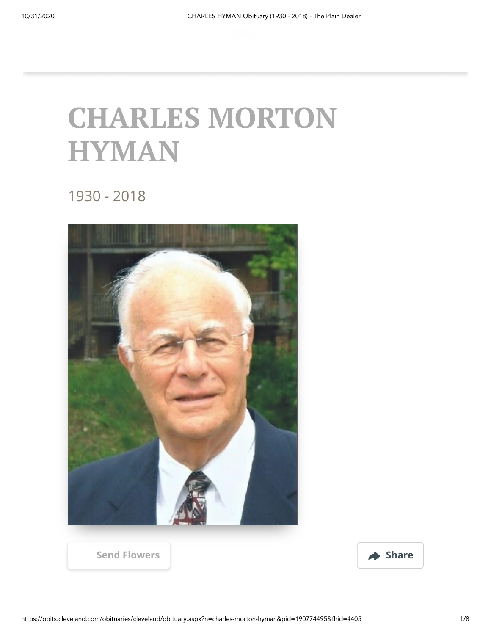## **CHARLES MORTON HYMAN**

1930 - 2018



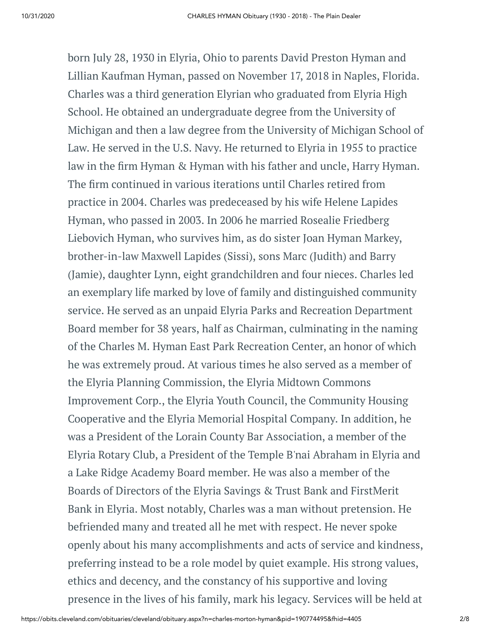born July 28, 1930 in Elyria, Ohio to parents David Preston Hyman and Lillian Kaufman Hyman, passed on November 17, 2018 in Naples, Florida. Charles was a third generation Elyrian who graduated from Elyria High School. He obtained an undergraduate degree from the University of Michigan and then a law degree from the University of Michigan School of Law. He served in the U.S. Navy. He returned to Elyria in 1955 to practice law in the firm Hyman & Hyman with his father and uncle, Harry Hyman. The firm continued in various iterations until Charles retired from practice in 2004. Charles was predeceased by his wife Helene Lapides Hyman, who passed in 2003. In 2006 he married Rosealie Friedberg Liebovich Hyman, who survives him, as do sister Joan Hyman Markey, brother-in-law Maxwell Lapides (Sissi), sons Marc (Judith) and Barry (Jamie), daughter Lynn, eight grandchildren and four nieces. Charles led an exemplary life marked by love of family and distinguished community service. He served as an unpaid Elyria Parks and Recreation Department Board member for 38 years, half as Chairman, culminating in the naming of the Charles M. Hyman East Park Recreation Center, an honor of which he was extremely proud. At various times he also served as a member of the Elyria Planning Commission, the Elyria Midtown Commons Improvement Corp., the Elyria Youth Council, the Community Housing Cooperative and the Elyria Memorial Hospital Company. In addition, he was a President of the Lorain County Bar Association, a member of the Elyria Rotary Club, a President of the Temple B'nai Abraham in Elyria and a Lake Ridge Academy Board member. He was also a member of the Boards of Directors of the Elyria Savings & Trust Bank and FirstMerit Bank in Elyria. Most notably, Charles was a man without pretension. He befriended many and treated all he met with respect. He never spoke openly about his many accomplishments and acts of service and kindness, preferring instead to be a role model by quiet example. His strong values, ethics and decency, and the constancy of his supportive and loving presence in the lives of his family, mark his legacy. Services will be held at